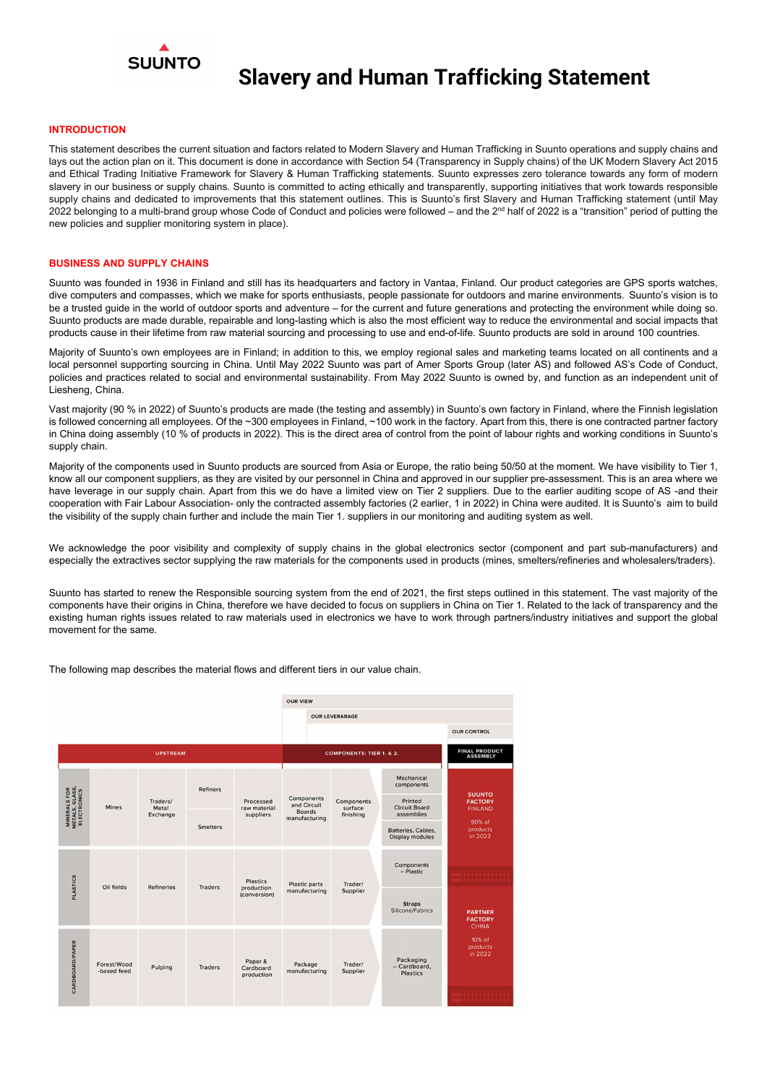

#### **INTRODUCTION**

This statement describes the current situation and factors related to Modern Slavery and Human Trafficking in Suunto operations and supply chains and lays out the action plan on it. This document is done in accordance with Section 54 (Transparency in Supply chains) of the UK Modern Slavery Act 2015 and Ethical Trading Initiative Framework for Slavery & Human Trafficking statements. Suunto expresses zero tolerance towards any form of modern slavery in our business or supply chains. Suunto is committed to acting ethically and transparently, supporting initiatives that work towards responsible supply chains and dedicated to improvements that this statement outlines. This is Suunto's first Slavery and Human Trafficking statement (until May 2022 belonging to a multi-brand group whose Code of Conduct and policies were followed – and the 2<sup>nd</sup> half of 2022 is a "transition" period of putting the new policies and supplier monitoring system in place).

#### BUSINESS AND SUPPLY CHAINS

Suunto was founded in 1936 in Finland and still has its headquarters and factory in Vantaa, Finland. Our product categories are GPS sports watches, dive computers and compasses, which we make for sports enthusiasts, people passionate for outdoors and marine environments. Suunto's vision is to be a trusted guide in the world of outdoor sports and adventure – for the current and future generations and protecting the environment while doing so. Suunto products are made durable, repairable and long-lasting which is also the most efficient way to reduce the environmental and social impacts that products cause in their lifetime from raw material sourcing and processing to use and end-of-life. Suunto products are sold in around 100 countries.

We acknowledge the poor visibility and complexity of supply chains in the global electronics sector (component and part sub-manufacturers) and especially the extractives sector supplying the raw materials for the components used in products (mines, smelters/refineries and wholesalers/traders).

Majority of Suunto's own employees are in Finland; in addition to this, we employ regional sales and marketing teams located on all continents and a local personnel supporting sourcing in China. Until May 2022 Suunto was part of Amer Sports Group (later AS) and followed AS's Code of Conduct, policies and practices related to social and environmental sustainability. From May 2022 Suunto is owned by, and function as an independent unit of Liesheng, China.

Vast majority (90 % in 2022) of Suunto's products are made (the testing and assembly) in Suunto's own factory in Finland, where the Finnish legislation is followed concerning all employees. Of the ~300 employees in Finland, ~100 work in the factory. Apart from this, there is one contracted partner factory in China doing assembly (10 % of products in 2022). This is the direct area of control from the point of labour rights and working conditions in Suunto's supply chain.

Majority of the components used in Suunto products are sourced from Asia or Europe, the ratio being 50/50 at the moment. We have visibility to Tier 1, know all our component suppliers, as they are visited by our personnel in China and approved in our supplier pre-assessment. This is an area where we have leverage in our supply chain. Apart from this we do have a limited view on Tier 2 suppliers. Due to the earlier auditing scope of AS -and their cooperation with Fair Labour Association- only the contracted assembly factories (2 earlier, 1 in 2022) in China were audited. It is Suunto's aim to build the visibility of the supply chain further and include the main Tier 1. suppliers in our monitoring and auditing system as well.

Suunto has started to renew the Responsible sourcing system from the end of 2021, the first steps outlined in this statement. The vast majority of the components have their origins in China, therefore we have decided to focus on suppliers in China on Tier 1. Related to the lack of transparency and the existing human rights issues related to raw materials used in electronics we have to work through partners/industry initiatives and support the global movement for the same.

The following map describes the material flows and different tiers in our value chain.



| 호물              |                            |                   | <b>Smelters</b> |                                               | manuracturing                  |                     | Batteries, Cables,<br>Display modules        | 90% of<br>products<br>in 2022                    |
|-----------------|----------------------------|-------------------|-----------------|-----------------------------------------------|--------------------------------|---------------------|----------------------------------------------|--------------------------------------------------|
| <b>PLASTICS</b> | Oil fields                 | <b>Refineries</b> | <b>Traders</b>  | <b>Plastics</b><br>production<br>(conversion) | Plastic parts<br>manufacturing | Trader/<br>Supplier | Components<br>- Plastic                      |                                                  |
|                 |                            |                   |                 |                                               |                                |                     | <b>Straps</b><br>Silicone/Fabrics            | <b>PARTNER</b><br><b>FACTORY</b><br><b>CHINA</b> |
| CARDBOARD/PAPER | Forest/Wood<br>-based feed | Pulping           | <b>Traders</b>  | Paper &<br>Cardboard<br>production            | Package<br>manufacturing       | Trader/<br>Supplier | Packaging<br>- Cardboard,<br><b>Plastics</b> | 10% of<br>products<br>in 2022                    |
|                 |                            |                   |                 |                                               |                                |                     |                                              |                                                  |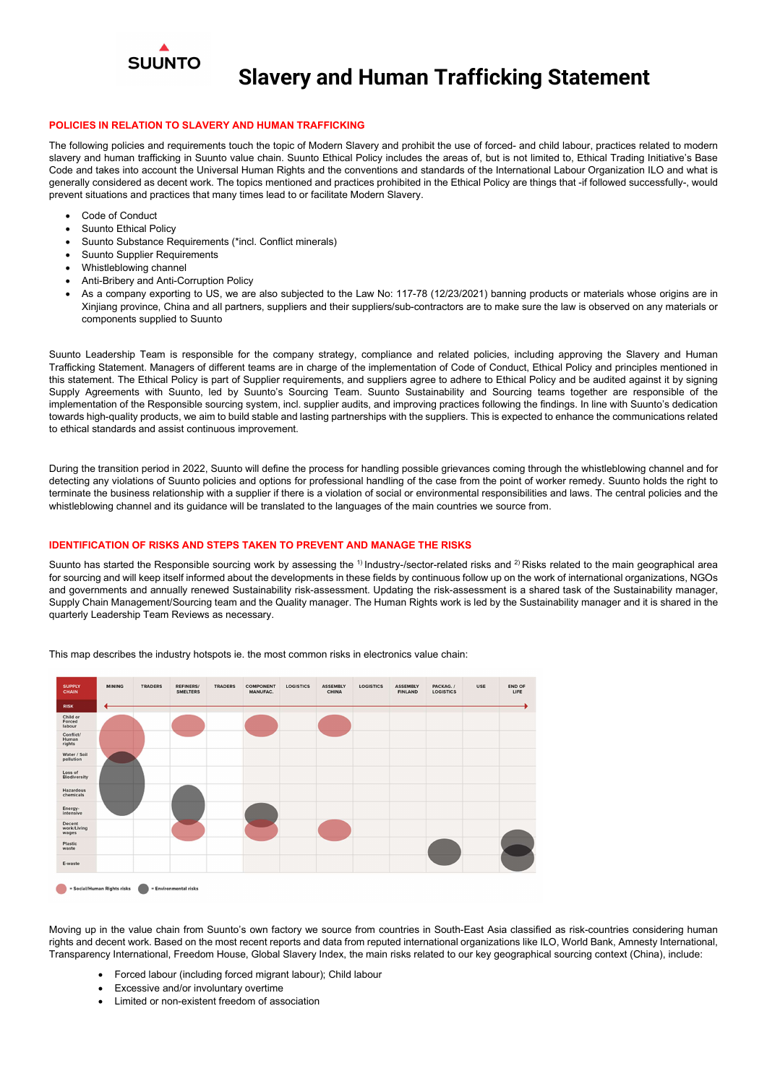

### POLICIES IN RELATION TO SLAVERY AND HUMAN TRAFFICKING

The following policies and requirements touch the topic of Modern Slavery and prohibit the use of forced- and child labour, practices related to modern slavery and human trafficking in Suunto value chain. Suunto Ethical Policy includes the areas of, but is not limited to, Ethical Trading Initiative's Base Code and takes into account the Universal Human Rights and the conventions and standards of the International Labour Organization ILO and what is generally considered as decent work. The topics mentioned and practices prohibited in the Ethical Policy are things that -if followed successfully-, would prevent situations and practices that many times lead to or facilitate Modern Slavery.

- Code of Conduct
- Suunto Ethical Policy
- Suunto Substance Requirements (\*incl. Conflict minerals)
- Suunto Supplier Requirements
- Whistleblowing channel
- Anti-Bribery and Anti-Corruption Policy
- As a company exporting to US, we are also subjected to the Law No: 117-78 (12/23/2021) banning products or materials whose origins are in Xinjiang province, China and all partners, suppliers and their suppliers/sub-contractors are to make sure the law is observed on any materials or components supplied to Suunto

Suunto has started the Responsible sourcing work by assessing the <sup>1)</sup> Industry-/sector-related risks and <sup>2)</sup> Risks related to the main geographical area for sourcing and will keep itself informed about the developments in these fields by continuous follow up on the work of international organizations, NGOs and governments and annually renewed Sustainability risk-assessment. Updating the risk-assessment is a shared task of the Sustainability manager, Supply Chain Management/Sourcing team and the Quality manager. The Human Rights work is led by the Sustainability manager and it is shared in the quarterly Leadership Team Reviews as necessary.

Suunto Leadership Team is responsible for the company strategy, compliance and related policies, including approving the Slavery and Human Trafficking Statement. Managers of different teams are in charge of the implementation of Code of Conduct, Ethical Policy and principles mentioned in this statement. The Ethical Policy is part of Supplier requirements, and suppliers agree to adhere to Ethical Policy and be audited against it by signing Supply Agreements with Suunto, led by Suunto's Sourcing Team. Suunto Sustainability and Sourcing teams together are responsible of the implementation of the Responsible sourcing system, incl. supplier audits, and improving practices following the findings. In line with Suunto's dedication towards high-quality products, we aim to build stable and lasting partnerships with the suppliers. This is expected to enhance the communications related to ethical standards and assist continuous improvement.

During the transition period in 2022, Suunto will define the process for handling possible grievances coming through the whistleblowing channel and for detecting any violations of Suunto policies and options for professional handling of the case from the point of worker remedy. Suunto holds the right to terminate the business relationship with a supplier if there is a violation of social or environmental responsibilities and laws. The central policies and the whistleblowing channel and its guidance will be translated to the languages of the main countries we source from.

### IDENTIFICATION OF RISKS AND STEPS TAKEN TO PREVENT AND MANAGE THE RISKS

This map describes the industry hotspots ie. the most common risks in electronics value chain:



Moving up in the value chain from Suunto's own factory we source from countries in South-East Asia classified as risk-countries considering human rights and decent work. Based on the most recent reports and data from reputed international organizations like ILO, World Bank, Amnesty International, Transparency International, Freedom House, Global Slavery Index, the main risks related to our key geographical sourcing context (China), include:

- Forced labour (including forced migrant labour); Child labour
- Excessive and/or involuntary overtime
- Limited or non-existent freedom of association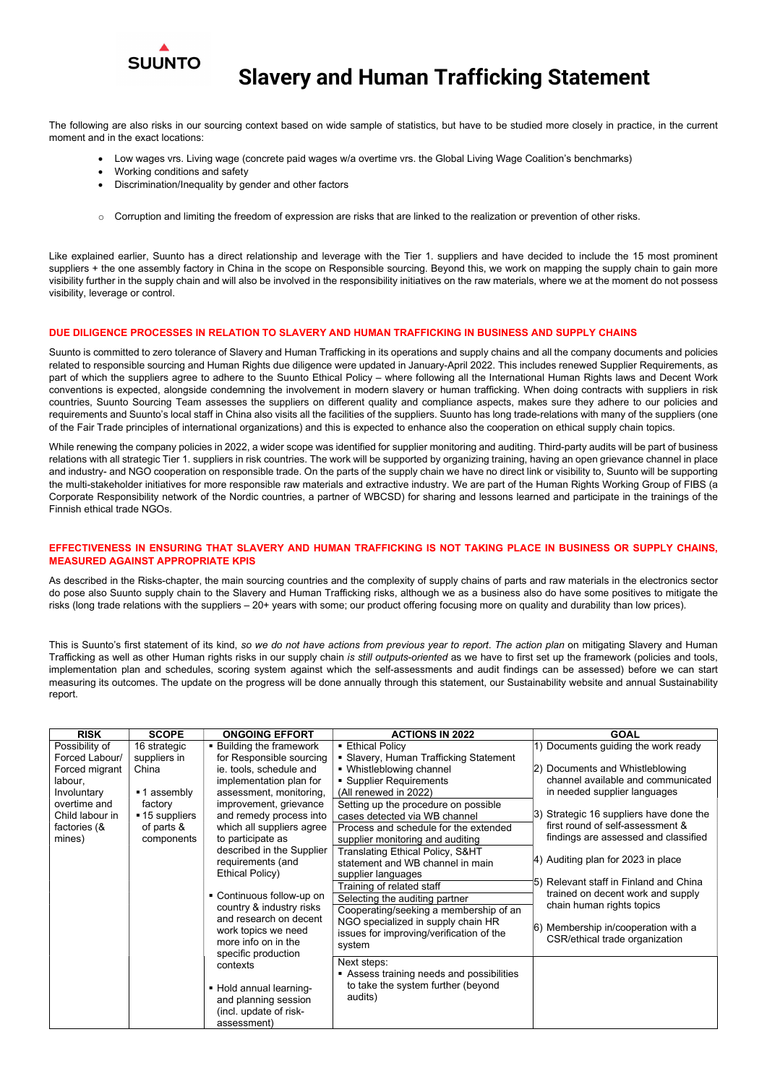

The following are also risks in our sourcing context based on wide sample of statistics, but have to be studied more closely in practice, in the current moment and in the exact locations:

- Low wages vrs. Living wage (concrete paid wages w/a overtime vrs. the Global Living Wage Coalition's benchmarks)
- Working conditions and safety
- Discrimination/Inequality by gender and other factors
- o Corruption and limiting the freedom of expression are risks that are linked to the realization or prevention of other risks.

Like explained earlier, Suunto has a direct relationship and leverage with the Tier 1. suppliers and have decided to include the 15 most prominent suppliers + the one assembly factory in China in the scope on Responsible sourcing. Beyond this, we work on mapping the supply chain to gain more visibility further in the supply chain and will also be involved in the responsibility initiatives on the raw materials, where we at the moment do not possess visibility, leverage or control.

#### DUE DILIGENCE PROCESSES IN RELATION TO SLAVERY AND HUMAN TRAFFICKING IN BUSINESS AND SUPPLY CHAINS

Suunto is committed to zero tolerance of Slavery and Human Trafficking in its operations and supply chains and all the company documents and policies related to responsible sourcing and Human Rights due diligence were updated in January-April 2022. This includes renewed Supplier Requirements, as part of which the suppliers agree to adhere to the Suunto Ethical Policy – where following all the International Human Rights laws and Decent Work conventions is expected, alongside condemning the involvement in modern slavery or human trafficking. When doing contracts with suppliers in risk countries, Suunto Sourcing Team assesses the suppliers on different quality and compliance aspects, makes sure they adhere to our policies and requirements and Suunto's local staff in China also visits all the facilities of the suppliers. Suunto has long trade-relations with many of the suppliers (one of the Fair Trade principles of international organizations) and this is expected to enhance also the cooperation on ethical supply chain topics.

This is Suunto's first statement of its kind, so we do not have actions from previous year to report. The action plan on mitigating Slavery and Human Trafficking as well as other Human rights risks in our supply chain is still outputs-oriented as we have to first set up the framework (policies and tools, implementation plan and schedules, scoring system against which the self-assessments and audit findings can be assessed) before we can start measuring its outcomes. The update on the progress will be done annually through this statement, our Sustainability website and annual Sustainability report.

While renewing the company policies in 2022, a wider scope was identified for supplier monitoring and auditing. Third-party audits will be part of business relations with all strategic Tier 1. suppliers in risk countries. The work will be supported by organizing training, having an open grievance channel in place and industry- and NGO cooperation on responsible trade. On the parts of the supply chain we have no direct link or visibility to, Suunto will be supporting the multi-stakeholder initiatives for more responsible raw materials and extractive industry. We are part of the Human Rights Working Group of FIBS (a Corporate Responsibility network of the Nordic countries, a partner of WBCSD) for sharing and lessons learned and participate in the trainings of the Finnish ethical trade NGOs.

### EFFECTIVENESS IN ENSURING THAT SLAVERY AND HUMAN TRAFFICKING IS NOT TAKING PLACE IN BUSINESS OR SUPPLY CHAINS, MEASURED AGAINST APPROPRIATE KPIS

As described in the Risks-chapter, the main sourcing countries and the complexity of supply chains of parts and raw materials in the electronics sector do pose also Suunto supply chain to the Slavery and Human Trafficking risks, although we as a business also do have some positives to mitigate the risks (long trade relations with the suppliers – 20+ years with some; our product offering focusing more on quality and durability than low prices).

| <b>RISK</b>     | <b>SCOPE</b>   | <b>ONGOING EFFORT</b>         | <b>ACTIONS IN 2022</b>                      | <b>GOAL</b>                             |
|-----------------|----------------|-------------------------------|---------------------------------------------|-----------------------------------------|
| Possibility of  | 16 strategic   | <b>Building the framework</b> | <b>Ethical Policy</b>                       | Documents guiding the work ready        |
| Forced Labour/  | suppliers in   | for Responsible sourcing      | <b>Slavery, Human Trafficking Statement</b> |                                         |
| Forced migrant  | China          | ie. tools, schedule and       | • Whistleblowing channel                    | Documents and Whistleblowing<br> 2)     |
| labour,         |                | implementation plan for       | • Supplier Requirements                     | channel available and communicated      |
| Involuntary     | ■ 1 assembly   | assessment, monitoring,       | (All renewed in 2022)                       | in needed supplier languages            |
| overtime and    | factory        | improvement, grievance        | Setting up the procedure on possible        |                                         |
| Child labour in | ■ 15 suppliers | and remedy process into       | cases detected via WB channel               | 3) Strategic 16 suppliers have done the |
| factories (&    | of parts &     | which all suppliers agree     | Process and schedule for the extended       | first round of self-assessment &        |
| mines)          | components     | to participate as             | supplier monitoring and auditing            | findings are assessed and classified    |
|                 |                | described in the Supplier     | Translating Ethical Policy, S&HT            |                                         |
|                 |                | requirements (and             | statement and WB channel in main            | 4) Auditing plan for 2023 in place      |
|                 |                | Ethical Policy)               | supplier languages                          |                                         |
|                 |                |                               | Training of related staff                   | 5) Relevant staff in Finland and China  |
|                 |                | • Continuous follow-up on     | Selecting the auditing partner              | trained on decent work and supply       |
|                 |                | country & industry risks      | Cooperating/seeking a membership of an      | chain human rights topics               |
|                 |                | and research on decent        | NGO specialized in supply chain HR          |                                         |
|                 |                | work topics we need           | issues for improving/verification of the    | Membership in/cooperation with a        |
|                 |                | more info on in the           | system                                      | CSR/ethical trade organization          |
|                 |                | specific production           |                                             |                                         |
|                 |                | contexts                      | Next steps:                                 |                                         |
|                 |                |                               | Assess training needs and possibilities     |                                         |
|                 |                | • Hold annual learning-       | to take the system further (beyond          |                                         |
|                 |                | and planning session          | audits)                                     |                                         |
|                 |                | (incl. update of risk-        |                                             |                                         |
|                 |                | assessment)                   |                                             |                                         |